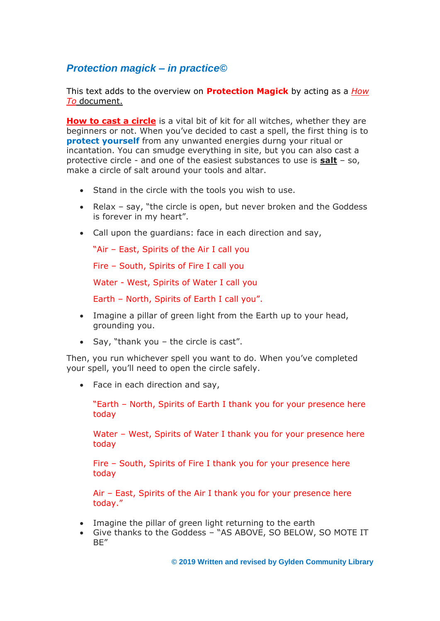# *Protection magick – in practice©*

This text adds to the overview on **Protection Magick** by acting as a *How To* document.

**How to cast a circle** is a vital bit of kit for all witches, whether they are beginners or not. When you've decided to cast a spell, the first thing is to **protect yourself** from any unwanted energies durng your ritual or incantation. You can smudge everything in site, but you can also cast a protective circle - and one of the easiest substances to use is **salt** – so, make a circle of salt around your tools and altar.

- Stand in the circle with the tools you wish to use.
- Relax say, "the circle is open, but never broken and the Goddess is forever in my heart".
- Call upon the guardians: face in each direction and say,

"Air – East, Spirits of the Air I call you

Fire – South, Spirits of Fire I call you

Water - West, Spirits of Water I call you

Earth – North, Spirits of Earth I call you".

- Imagine a pillar of green light from the Earth up to your head, grounding you.
- Say, "thank you the circle is cast".

Then, you run whichever spell you want to do. When you've completed your spell, you'll need to open the circle safely.

• Face in each direction and say,

"Earth – North, Spirits of Earth I thank you for your presence here today

Water – West, Spirits of Water I thank you for your presence here today

Fire – South, Spirits of Fire I thank you for your presence here today

Air – East, Spirits of the Air I thank you for your presence here today."

- Imagine the pillar of green light returning to the earth
- Give thanks to the Goddess "AS ABOVE, SO BELOW, SO MOTE IT BE"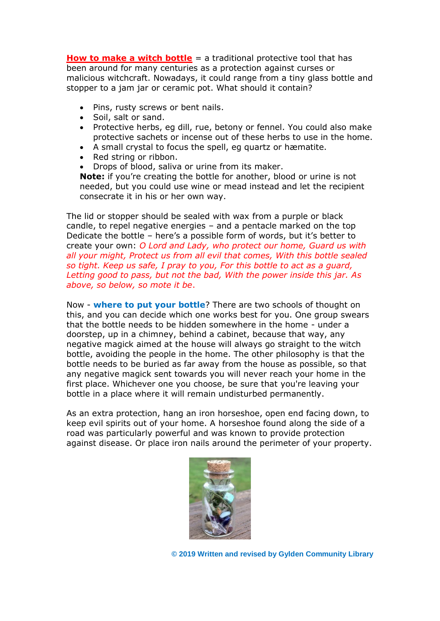**How to make a witch bottle** = a traditional protective tool that has been around for many centuries as a protection against curses or malicious witchcraft. Nowadays, it could range from a tiny glass bottle and stopper to a jam jar or ceramic pot. What should it contain?

- Pins, rusty screws or bent nails.
- Soil, salt or sand.
- Protective herbs, eg dill, rue, betony or fennel. You could also make protective sachets or incense out of these herbs to use in the home.
- A small crystal to focus the spell, eg quartz or hæmatite.
- Red string or ribbon.
- Drops of blood, saliva or urine from its maker.

**Note:** if you're creating the bottle for another, blood or urine is not needed, but you could use wine or mead instead and let the recipient consecrate it in his or her own way.

The lid or stopper should be sealed with wax from a purple or black candle, to repel negative energies – and a pentacle marked on the top Dedicate the bottle – here's a possible form of words, but it's better to create your own: *O Lord and Lady, who protect our home, Guard us with all your might, Protect us from all evil that comes, With this bottle sealed so tight. Keep us safe, I pray to you, For this bottle to act as a guard, Letting good to pass, but not the bad, With the power inside this jar. As above, so below, so mote it be*.

Now - **where to put your bottle**? There are two schools of thought on this, and you can decide which one works best for you. One group swears that the bottle needs to be hidden somewhere in the home - under a doorstep, up in a chimney, behind a cabinet, because that way, any negative magick aimed at the house will always go straight to the witch bottle, avoiding the people in the home. The other philosophy is that the bottle needs to be buried as far away from the house as possible, so that any negative magick sent towards you will never reach your home in the first place. Whichever one you choose, be sure that you're leaving your bottle in a place where it will remain undisturbed permanently.

As an extra protection, hang an iron horseshoe, open end facing down, to keep evil spirits out of your home. A horseshoe found along the side of a road was particularly powerful and was known to provide protection against disease. Or place iron nails around the perimeter of your property.

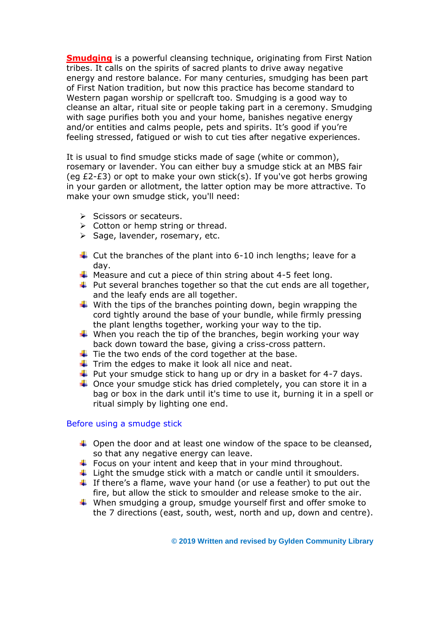**Smudging** is a powerful cleansing technique, originating from First Nation tribes. It calls on the spirits of sacred plants to drive away negative energy and restore balance. For many centuries, smudging has been part of First Nation tradition, but now this practice has become standard to Western pagan worship or spellcraft too. Smudging is a good way to cleanse an altar, ritual site or people taking part in a ceremony. Smudging with sage purifies both you and your home, banishes negative energy and/or entities and calms people, pets and spirits. It's good if you're feeling stressed, fatigued or wish to cut ties after negative experiences.

It is usual to find smudge sticks made of sage (white or common), rosemary or lavender. You can either buy a smudge stick at an MBS fair (eq  $£2-E3$ ) or opt to make your own stick(s). If you've got herbs growing in your garden or allotment, the latter option may be more attractive. To make your own smudge stick, you'll need:

- ➢ Scissors or secateurs.
- $\triangleright$  Cotton or hemp string or thread.
- ➢ Sage, lavender, rosemary, etc.
- $\ddot$  Cut the branches of the plant into 6-10 inch lengths; leave for a day.
- $\downarrow$  Measure and cut a piece of thin string about 4-5 feet long.
- $\ddot{\phantom{1}}$  Put several branches together so that the cut ends are all together, and the leafy ends are all together.
- $\downarrow$  With the tips of the branches pointing down, begin wrapping the cord tightly around the base of your bundle, while firmly pressing the plant lengths together, working your way to the tip.
- $\downarrow$  When you reach the tip of the branches, begin working your way back down toward the base, giving a criss-cross pattern.
- $\ddot{+}$  Tie the two ends of the cord together at the base.
- $\downarrow$  Trim the edges to make it look all nice and neat.
- $\ddot{\bullet}$  Put your smudge stick to hang up or dry in a basket for 4-7 days.
- $\downarrow$  Once your smudge stick has dried completely, you can store it in a bag or box in the dark until it's time to use it, burning it in a spell or ritual simply by lighting one end.

#### Before using a smudge stick

- $\ddot{+}$  Open the door and at least one window of the space to be cleansed, so that any negative energy can leave.
- $\ddot{\phantom{1}}$  Focus on your intent and keep that in your mind throughout.
- $\ddot{\phantom{1}}$  Light the smudge stick with a match or candle until it smoulders.
- $\ddot{\phantom{1}}$  If there's a flame, wave your hand (or use a feather) to put out the fire, but allow the stick to smoulder and release smoke to the air.
- $\ddot$  When smudging a group, smudge yourself first and offer smoke to the 7 directions (east, south, west, north and up, down and centre).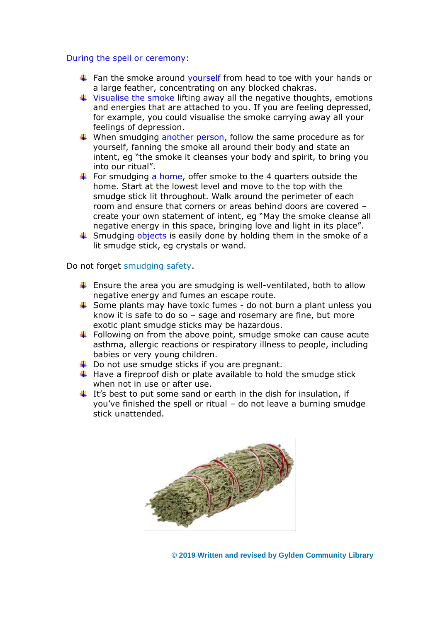#### During the spell or ceremony:

- $\ddot{+}$  Fan the smoke around vourself from head to toe with your hands or a large feather, concentrating on any blocked chakras.
- $\ddot{+}$  Visualise the smoke lifting away all the negative thoughts, emotions and energies that are attached to you. If you are feeling depressed, for example, you could visualise the smoke carrying away all your feelings of depression.
- $\ddot{*}$  When smudging another person, follow the same procedure as for yourself, fanning the smoke all around their body and state an intent, eg "the smoke it cleanses your body and spirit, to bring you into our ritual".
- For smudging a home, offer smoke to the 4 quarters outside the home. Start at the lowest level and move to the top with the smudge stick lit throughout. Walk around the perimeter of each room and ensure that corners or areas behind doors are covered – create your own statement of intent, eg "May the smoke cleanse all negative energy in this space, bringing love and light in its place".
- $\ddot{\bullet}$  Smudging objects is easily done by holding them in the smoke of a lit smudge stick, eg crystals or wand.

Do not forget smudging safety.

- **E** Ensure the area you are smudging is well-ventilated, both to allow negative energy and fumes an escape route.
- $\ddot{\phantom{1}}$  Some plants may have toxic fumes do not burn a plant unless you know it is safe to do so – sage and rosemary are fine, but more exotic plant smudge sticks may be hazardous.
- $\ddot{+}$  Following on from the above point, smudge smoke can cause acute asthma, allergic reactions or respiratory illness to people, including babies or very young children.
- $\downarrow$  Do not use smudge sticks if you are pregnant.
- $\ddot{+}$  Have a fireproof dish or plate available to hold the smudge stick when not in use or after use.
- $\ddot{\text{I}}$  It's best to put some sand or earth in the dish for insulation, if you've finished the spell or ritual – do not leave a burning smudge stick unattended.

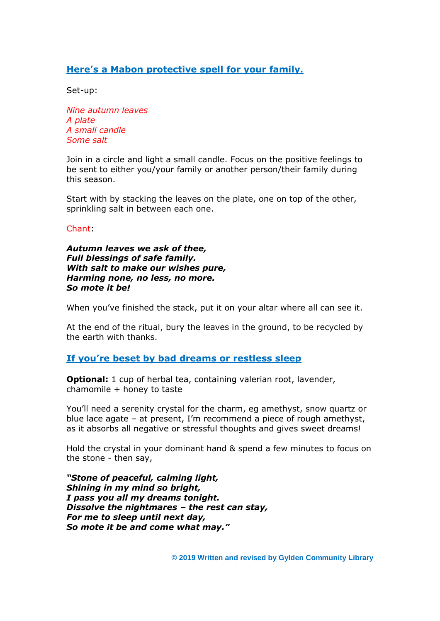# **Here's a Mabon protective spell for your family.**

Set-up:

*Nine autumn leaves A plate A small candle Some salt*

Join in a circle and light a small candle. Focus on the positive feelings to be sent to either you/your family or another person/their family during this season.

Start with by stacking the leaves on the plate, one on top of the other, sprinkling salt in between each one.

Chant:

*Autumn leaves we ask of thee, Full blessings of safe family. With salt to make our wishes pure, Harming none, no less, no more. So mote it be!*

When you've finished the stack, put it on your altar where all can see it.

At the end of the ritual, bury the leaves in the ground, to be recycled by the earth with thanks.

### **If you're beset by bad dreams or restless sleep**

**Optional:** 1 cup of herbal tea, containing valerian root, lavender, chamomile + honey to taste

You'll need a serenity crystal for the charm, eg amethyst, snow quartz or blue lace agate – at present, I'm recommend a piece of rough amethyst, as it absorbs all negative or stressful thoughts and gives sweet dreams!

Hold the crystal in your dominant hand & spend a few minutes to focus on the stone - then say,

*"Stone of peaceful, calming light, Shining in my mind so bright, I pass you all my dreams tonight. Dissolve the nightmares – the rest can stay, For me to sleep until next day, So mote it be and come what may."*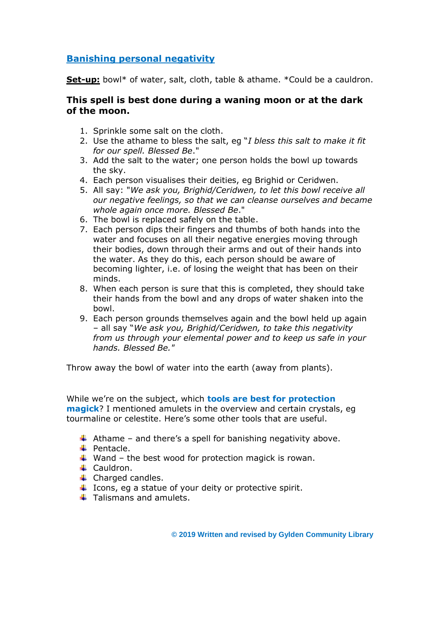# **Banishing personal negativity**

**Set-up:** bowl\* of water, salt, cloth, table & athame. \*Could be a cauldron.

## **This spell is best done during a waning moon or at the dark of the moon.**

- 1. Sprinkle some salt on the cloth.
- 2. Use the athame to bless the salt, eg "*I bless this salt to make it fit for our spell. Blessed Be*."
- 3. Add the salt to the water; one person holds the bowl up towards the sky.
- 4. Each person visualises their deities, eg Brighid or Ceridwen.
- 5. All say: "*We ask you, Brighid/Ceridwen, to let this bowl receive all our negative feelings, so that we can cleanse ourselves and became whole again once more. Blessed Be*."
- 6. The bowl is replaced safely on the table.
- 7. Each person dips their fingers and thumbs of both hands into the water and focuses on all their negative energies moving through their bodies, down through their arms and out of their hands into the water. As they do this, each person should be aware of becoming lighter, i.e. of losing the weight that has been on their minds.
- 8. When each person is sure that this is completed, they should take their hands from the bowl and any drops of water shaken into the bowl.
- 9. Each person grounds themselves again and the bowl held up again – all say "*We ask you, Brighid/Ceridwen, to take this negativity from us through your elemental power and to keep us safe in your hands. Blessed Be."*

Throw away the bowl of water into the earth (away from plants).

While we're on the subject, which **tools are best for protection magick**? I mentioned amulets in the overview and certain crystals, eg tourmaline or celestite. Here's some other tools that are useful.

- $\ddot{+}$  Athame and there's a spell for banishing negativity above.
- $\leftarrow$  Pentacle.
- $\ddot{+}$  Wand the best wood for protection magick is rowan.
- **↓** Cauldron.
- $\leftarrow$  Charged candles.
- $\ddot{+}$  Icons, eg a statue of your deity or protective spirit.
- $\pm$  Talismans and amulets.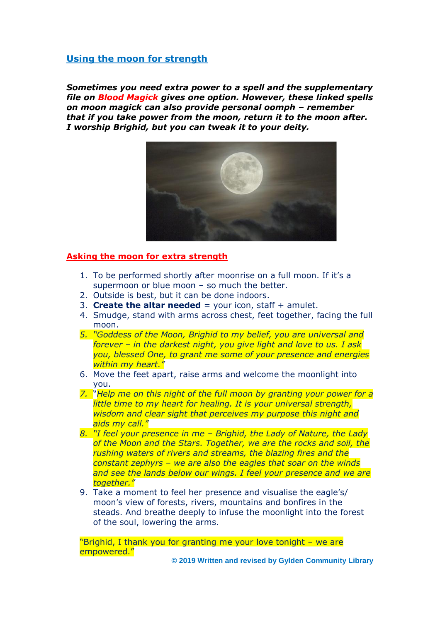## **Using the moon for strength**

*Sometimes you need extra power to a spell and the supplementary file on Blood Magick gives one option. However, these linked spells on moon magick can also provide personal oomph – remember that if you take power from the moon, return it to the moon after. I worship Brighid, but you can tweak it to your deity.*



#### **Asking the moon for extra strength**

- 1. To be performed shortly after moonrise on a full moon. If it's a supermoon or blue moon – so much the better.
- 2. Outside is best, but it can be done indoors.
- 3. **Create the altar needed** = your icon, staff  $+$  amulet.
- 4. Smudge, stand with arms across chest, feet together, facing the full moon.
- *5. "Goddess of the Moon, Brighid to my belief, you are universal and forever – in the darkest night, you give light and love to us. I ask you, blessed One, to grant me some of your presence and energies within my heart."*
- 6. Move the feet apart, raise arms and welcome the moonlight into you.
- *7.* "*Help me on this night of the full moon by granting your power for a little time to my heart for healing. It is your universal strength, wisdom and clear sight that perceives my purpose this night and aids my call."*
- *8. "I feel your presence in me – Brighid, the Lady of Nature, the Lady of the Moon and the Stars. Together, we are the rocks and soil, the rushing waters of rivers and streams, the blazing fires and the constant zephyrs – we are also the eagles that soar on the winds and see the lands below our wings. I feel your presence and we are together."*
- 9. Take a moment to feel her presence and visualise the eagle's/ moon's view of forests, rivers, mountains and bonfires in the steads. And breathe deeply to infuse the moonlight into the forest of the soul, lowering the arms.

"Brighid, I thank you for granting me your love tonight – we are empowered."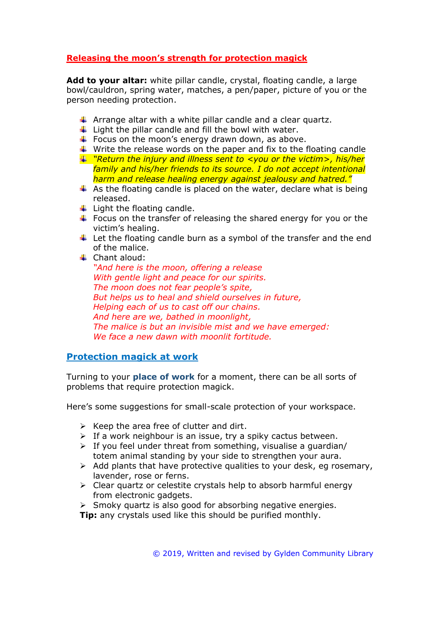# **Releasing the moon's strength for protection magick**

**Add to your altar:** white pillar candle, crystal, floating candle, a large bowl/cauldron, spring water, matches, a pen/paper, picture of you or the person needing protection.

- $\uparrow$  Arrange altar with a white pillar candle and a clear quartz.
- $\downarrow$  Light the pillar candle and fill the bowl with water.
- $\ddot{\bullet}$  Focus on the moon's energy drawn down, as above.
- $\ddotmark$  Write the release words on the paper and fix to the floating candle
- *"Return the injury and illness sent to <you or the victim>, his/her family and his/her friends to its source. I do not accept intentional harm and release healing energy against jealousy and hatred."*
- $\ddot{+}$  As the floating candle is placed on the water, declare what is being released.
- $\ddot{\bullet}$  Light the floating candle.
- $\ddot{\phantom{1}}$  Focus on the transfer of releasing the shared energy for you or the victim's healing.
- $\ddot{\phantom{1}}$  Let the floating candle burn as a symbol of the transfer and the end of the malice.
- $\leftarrow$  Chant aloud:

*"And here is the moon, offering a release With gentle light and peace for our spirits. The moon does not fear people's spite, But helps us to heal and shield ourselves in future, Helping each of us to cast off our chains. And here are we, bathed in moonlight, The malice is but an invisible mist and we have emerged: We face a new dawn with moonlit fortitude.*

### **Protection magick at work**

Turning to your **place of work** for a moment, there can be all sorts of problems that require protection magick.

Here's some suggestions for small-scale protection of your workspace.

- $\triangleright$  Keep the area free of clutter and dirt.
- $\triangleright$  If a work neighbour is an issue, try a spiky cactus between.
- $\triangleright$  If you feel under threat from something, visualise a guardian/ totem animal standing by your side to strengthen your aura.
- $\triangleright$  Add plants that have protective qualities to your desk, eq rosemary, lavender, rose or ferns.
- $\triangleright$  Clear quartz or celestite crystals help to absorb harmful energy from electronic gadgets.
- Smoky quartz is also good for absorbing negative energies.

**Tip:** any crystals used like this should be purified monthly.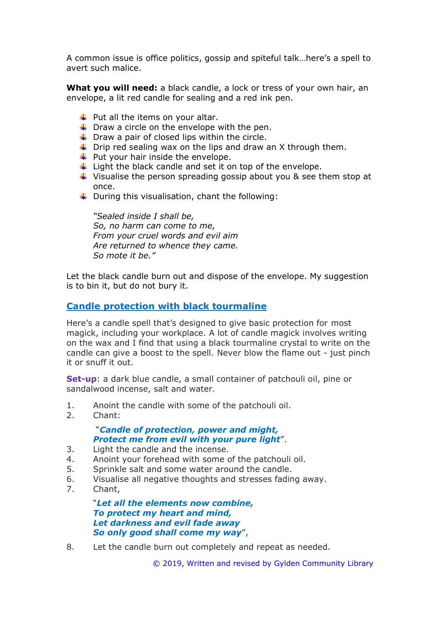A common issue is office politics, gossip and spiteful talk…here's a spell to avert such malice.

**What you will need:** a black candle, a lock or tress of your own hair, an envelope, a lit red candle for sealing and a red ink pen.

- $\downarrow$  Put all the items on your altar.
- $\downarrow$  Draw a circle on the envelope with the pen.
- $\downarrow$  Draw a pair of closed lips within the circle.
- $\overline{\phantom{a}}$  Drip red sealing wax on the lips and draw an X through them.
- $\downarrow$  Put your hair inside the envelope.
- $\ddot{\phantom{1}}$  Light the black candle and set it on top of the envelope.
- $\ddot{\phantom{1}}$  Visualise the person spreading gossip about you & see them stop at once.
- $\downarrow$  During this visualisation, chant the following:

*"Sealed inside I shall be, So, no harm can come to me, From your cruel words and evil aim Are returned to whence they came. So mote it be."*

Let the black candle burn out and dispose of the envelope. My suggestion is to bin it, but do not bury it.

#### **Candle protection with black tourmaline**

Here's a candle spell that's designed to give basic protection for most magick, including your workplace. A lot of candle magick involves writing on the wax and I find that using a black tourmaline crystal to write on the candle can give a boost to the spell. Never blow the flame out - just pinch it or snuff it out.

**Set-up**: a dark blue candle, a small container of patchouli oil, pine or sandalwood incense, salt and water.

- 1. Anoint the candle with some of the patchouli oil.
- 2. Chant:

### "*Candle of protection, power and might, Protect me from evil with your pure light*".

- 3. Light the candle and the incense.
- 4. Anoint your forehead with some of the patchouli oil.
- 5. Sprinkle salt and some water around the candle.
- 6. Visualise all negative thoughts and stresses fading away.
- 7. Chant,

"*Let all the elements now combine, To protect my heart and mind, Let darkness and evil fade away So only good shall come my way*",

8. Let the candle burn out completely and repeat as needed.